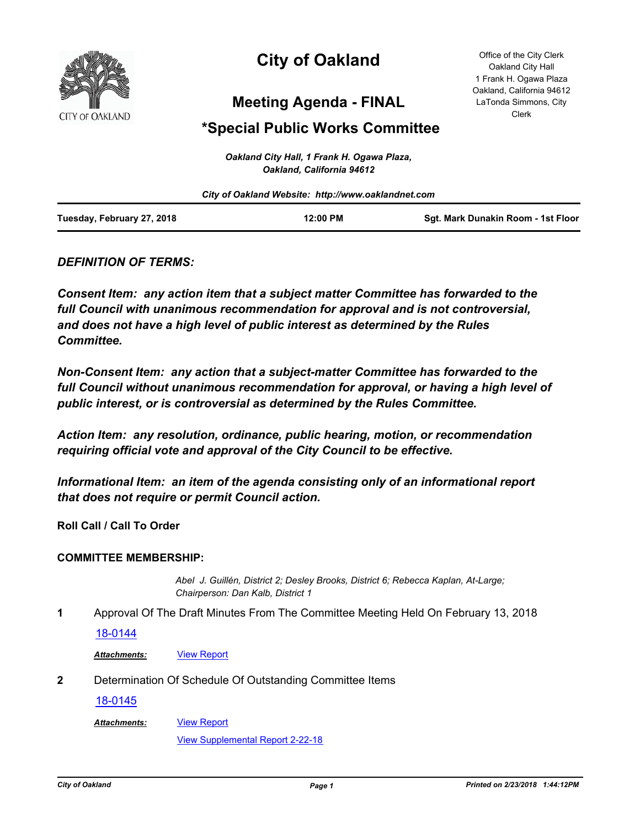

# **City of Oakland**

**Meeting Agenda - FINAL**

# **\*Special Public Works Committee**

Office of the City Clerk Oakland City Hall 1 Frank H. Ogawa Plaza Oakland, California 94612 LaTonda Simmons, City Clerk

|                            | Oakland City Hall, 1 Frank H. Ogawa Plaza,<br>Oakland, California 94612 |                                    |
|----------------------------|-------------------------------------------------------------------------|------------------------------------|
|                            | City of Oakland Website: http://www.oaklandnet.com                      |                                    |
| Tuesday, February 27, 2018 | 12:00 PM                                                                | Sqt. Mark Dunakin Room - 1st Floor |

# *DEFINITION OF TERMS:*

*Consent Item: any action item that a subject matter Committee has forwarded to the full Council with unanimous recommendation for approval and is not controversial, and does not have a high level of public interest as determined by the Rules Committee.*

*Non-Consent Item: any action that a subject-matter Committee has forwarded to the*  full Council without unanimous recommendation for approval, or having a high level of *public interest, or is controversial as determined by the Rules Committee.*

*Action Item: any resolution, ordinance, public hearing, motion, or recommendation requiring official vote and approval of the City Council to be effective.*

*Informational Item: an item of the agenda consisting only of an informational report that does not require or permit Council action.*

**Roll Call / Call To Order**

#### **COMMITTEE MEMBERSHIP:**

*Abel J. Guillén, District 2; Desley Brooks, District 6; Rebecca Kaplan, At-Large; Chairperson: Dan Kalb, District 1*

**1** Approval Of The Draft Minutes From The Committee Meeting Held On February 13, 2018

#### [18-0144](http://oakland.legistar.com/gateway.aspx?m=l&id=/matter.aspx?key=28580)

Attachments: **[View Report](http://oakland.legistar.com/gateway.aspx?M=F&ID=dbc18199-ed1d-46f6-aa2a-a47a3e371d5c.pdf)** 

**2** Determination Of Schedule Of Outstanding Committee Items

#### [18-0145](http://oakland.legistar.com/gateway.aspx?m=l&id=/matter.aspx?key=28581)

[View Report](http://oakland.legistar.com/gateway.aspx?M=F&ID=76f56c6b-2675-4a78-b9e0-6c0c56438048.pdf) *Attachments:*

[View Supplemental Report 2-22-18](http://oakland.legistar.com/gateway.aspx?M=F&ID=93c41a2e-6a12-45a0-9b71-baec1140e8c2.pdf)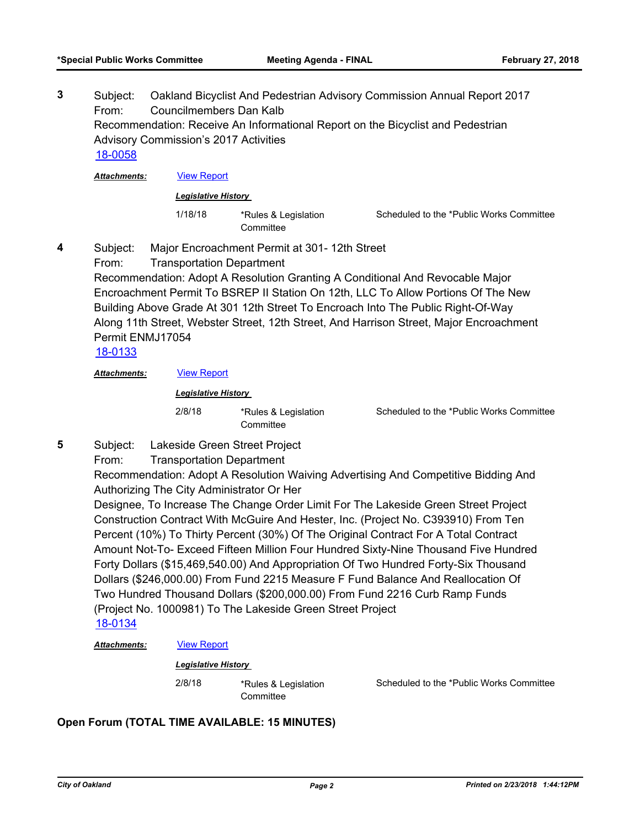Subject: Oakland Bicyclist And Pedestrian Advisory Commission Annual Report 2017 From: Councilmembers Dan Kalb Recommendation: Receive An Informational Report on the Bicyclist and Pedestrian Advisory Commission's 2017 Activities **3** [18-0058](http://oakland.legistar.com/gateway.aspx?m=l&id=/matter.aspx?key=28494)

*Attachments:* [View Report](http://oakland.legistar.com/gateway.aspx?M=F&ID=73c28376-dd1e-4b32-bbca-59a3e2e049ba.pdf)

#### *Legislative History*

1/18/18 \*Rules & Legislation **Committee** 

Scheduled to the \*Public Works Committee

- Subject: Major Encroachment Permit at 301- 12th Street **4**
	- From: Transportation Department

Recommendation: Adopt A Resolution Granting A Conditional And Revocable Major Encroachment Permit To BSREP II Station On 12th, LLC To Allow Portions Of The New Building Above Grade At 301 12th Street To Encroach Into The Public Right-Of-Way Along 11th Street, Webster Street, 12th Street, And Harrison Street, Major Encroachment Permit ENMJ17054

# [18-0133](http://oakland.legistar.com/gateway.aspx?m=l&id=/matter.aspx?key=28569)

**5**

*Attachments:* [View Report](http://oakland.legistar.com/gateway.aspx?M=F&ID=1de8b079-bc0d-4545-82fc-3d822f11f07e.pdf)

*Legislative History* 

2/8/18 \*Rules & Legislation **Committee** 

Scheduled to the \*Public Works Committee

Subject: Lakeside Green Street Project From: Transportation Department

> Recommendation: Adopt A Resolution Waiving Advertising And Competitive Bidding And Authorizing The City Administrator Or Her

> Designee, To Increase The Change Order Limit For The Lakeside Green Street Project Construction Contract With McGuire And Hester, Inc. (Project No. C393910) From Ten Percent (10%) To Thirty Percent (30%) Of The Original Contract For A Total Contract Amount Not-To- Exceed Fifteen Million Four Hundred Sixty-Nine Thousand Five Hundred Forty Dollars (\$15,469,540.00) And Appropriation Of Two Hundred Forty-Six Thousand Dollars (\$246,000.00) From Fund 2215 Measure F Fund Balance And Reallocation Of Two Hundred Thousand Dollars (\$200,000.00) From Fund 2216 Curb Ramp Funds (Project No. 1000981) To The Lakeside Green Street Project [18-0134](http://oakland.legistar.com/gateway.aspx?m=l&id=/matter.aspx?key=28570)

*Attachments:* [View Report](http://oakland.legistar.com/gateway.aspx?M=F&ID=84e86a95-f65b-4a48-ac52-35f2212765c7.pdf)

#### *Legislative History*

2/8/18 \*Rules & Legislation **Committee** 

Scheduled to the \*Public Works Committee

# **Open Forum (TOTAL TIME AVAILABLE: 15 MINUTES)**